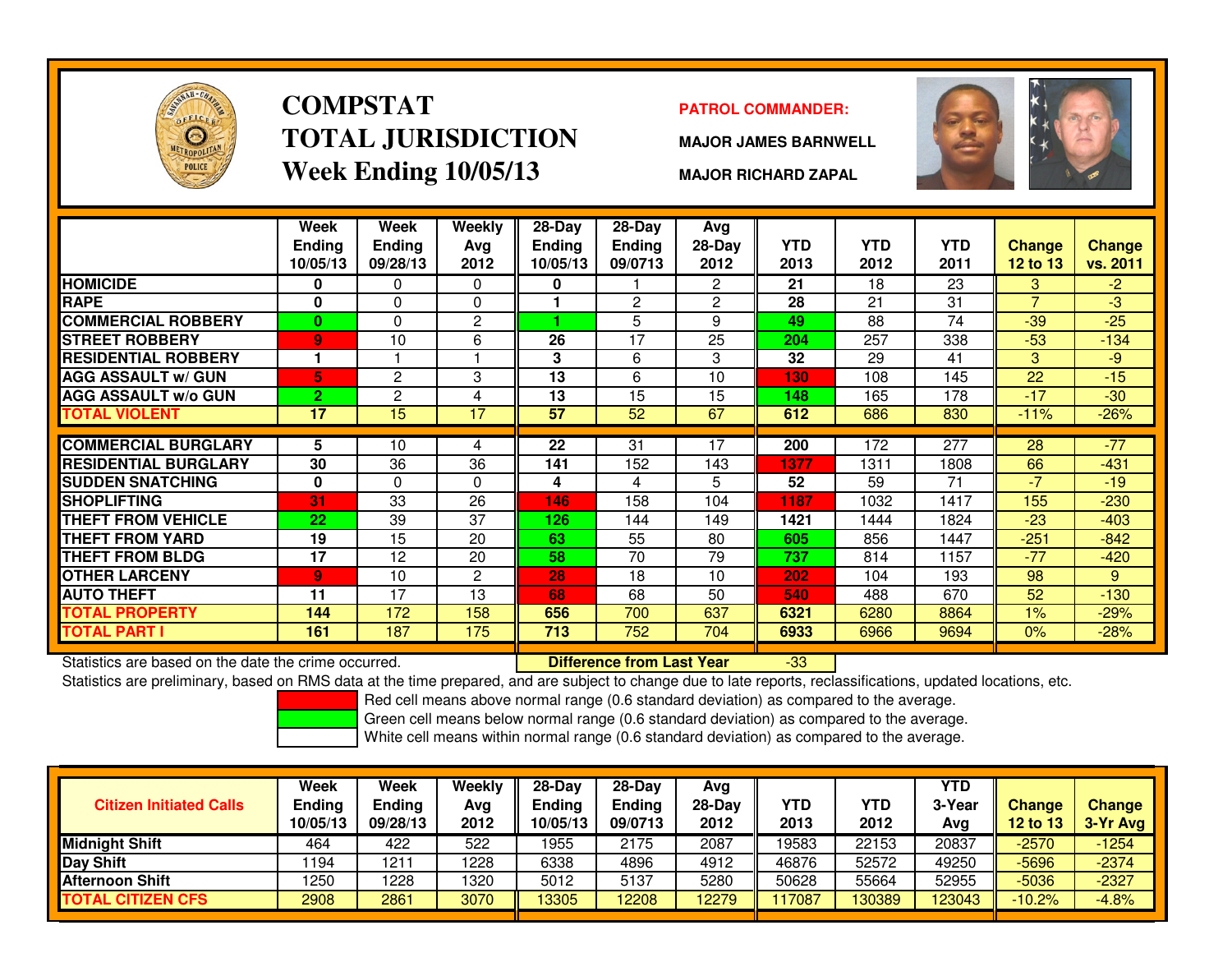

# **COMPSTATTOTAL JURISDICTIONWeek Ending 10/05/13**

### **PATROL COMMANDER:**

**MAJOR JAMES BARNWELL**



**MAJOR RICHARD ZAPAL**

|                             | Week<br><b>Ending</b><br>10/05/13 | Week<br><b>Ending</b><br>09/28/13 | <b>Weekly</b><br>Avg<br>2012 | $28-Day$<br>Ending<br>10/05/13 | $28-Day$<br><b>Ending</b><br>09/0713 | Avg<br>28-Day<br>2012 | <b>YTD</b><br>2013 | <b>YTD</b><br>2012 | <b>YTD</b><br>2011 | <b>Change</b><br><b>12 to 13</b> | <b>Change</b><br>vs. 2011 |
|-----------------------------|-----------------------------------|-----------------------------------|------------------------------|--------------------------------|--------------------------------------|-----------------------|--------------------|--------------------|--------------------|----------------------------------|---------------------------|
| <b>HOMICIDE</b>             | 0                                 | 0                                 | $\mathbf 0$                  | 0                              |                                      | $\overline{2}$        | 21                 | 18                 | 23                 | 3                                | $-2$                      |
| <b>RAPE</b>                 | 0                                 | 0                                 | $\mathbf 0$                  |                                | $\overline{c}$                       | $\overline{c}$        | 28                 | 21                 | 31                 | $\overline{ }$                   | -3                        |
| <b>COMMERCIAL ROBBERY</b>   | $\bf{0}$                          | 0                                 | $\mathbf{2}$                 |                                | 5                                    | 9                     | 49                 | 88                 | 74                 | $-39$                            | $-25$                     |
| <b>STREET ROBBERY</b>       | 9                                 | 10                                | 6                            | 26                             | 17                                   | 25                    | 204                | 257                | 338                | $-53$                            | $-134$                    |
| <b>RESIDENTIAL ROBBERY</b>  | 1                                 |                                   |                              | 3                              | 6                                    | 3                     | 32                 | 29                 | 41                 | 3                                | $-9$                      |
| <b>AGG ASSAULT w/ GUN</b>   | 5                                 | 2                                 | 3                            | 13                             | 6                                    | 10                    | 130                | 108                | 145                | 22                               | $-15$                     |
| <b>AGG ASSAULT w/o GUN</b>  | $\overline{2}$                    | 2                                 | 4                            | 13                             | 15                                   | 15                    | 148                | 165                | 178                | $-17$                            | $-30$                     |
| TOTAL VIOLENT               | 17                                | 15                                | 17                           | 57                             | 52                                   | 67                    | 612                | 686                | 830                | $-11%$                           | $-26%$                    |
|                             |                                   |                                   |                              |                                |                                      |                       |                    |                    |                    |                                  |                           |
| <b>COMMERCIAL BURGLARY</b>  | 5                                 | 10                                | 4                            | $\overline{22}$                | 31                                   | 17                    | 200                | 172                | 277                | 28                               | $-77$                     |
| <b>RESIDENTIAL BURGLARY</b> | 30                                | 36                                | 36                           | 141                            | 152                                  | 143                   | 1377               | 1311               | 1808               | 66                               | $-431$                    |
| <b>SUDDEN SNATCHING</b>     | $\mathbf 0$                       | 0                                 | $\Omega$                     | 4                              | 4                                    | 5                     | 52                 | 59                 | 71                 | $-7$                             | $-19$                     |
| <b>SHOPLIFTING</b>          | 31                                | 33                                | 26                           | 146                            | 158                                  | 104                   | 1187               | 1032               | 1417               | 155                              | $-230$                    |
| THEFT FROM VEHICLE          | 22                                | 39                                | 37                           | 126                            | 144                                  | 149                   | 1421               | 1444               | 1824               | $-23$                            | $-403$                    |
| <b>THEFT FROM YARD</b>      | 19                                | 15                                | 20                           | 63                             | 55                                   | 80                    | 605                | 856                | 1447               | $-251$                           | $-842$                    |
| <b>THEFT FROM BLDG</b>      | 17                                | 12                                | 20                           | 58                             | 70                                   | 79                    | 737                | 814                | 1157               | $-77$                            | $-420$                    |
| <b>OTHER LARCENY</b>        | 9                                 | 10                                | $\overline{c}$               | 28                             | 18                                   | 10                    | 202                | 104                | 193                | 98                               | 9                         |
| <b>AUTO THEFT</b>           | 11                                | 17                                | 13                           | 68                             | 68                                   | 50                    | 540                | 488                | 670                | 52                               | $-130$                    |
| <b>TOTAL PROPERTY</b>       | 144                               | 172                               | 158                          | 656                            | 700                                  | 637                   | 6321               | 6280               | 8864               | 1%                               | $-29%$                    |
| TOTAL PART I                | 161                               | 187                               | 175                          | 713                            | 752                                  | 704                   | 6933               | 6966               | 9694               | $0\%$                            | $-28%$                    |

Statistics are based on the date the crime occurred. **Difference from Last Year** 

Statistics are based on the date the crime occurred. **[89] Luite Luite Lite of Last Year Net Last Year 1989** Lo<br>Statistics are preliminary, based on RMS data at the time prepared, and are subject to change due to late repo

Red cell means above normal range (0.6 standard deviation) as compared to the average.

Green cell means below normal range (0.6 standard deviation) as compared to the average.

| <b>Citizen Initiated Calls</b> | Week<br>Ending<br>10/05/13 | Week<br><b>Ending</b><br>09/28/13 | Weekly<br>Avg<br>2012 | $28-Dav$<br><b>Endina</b><br>10/05/13 | $28-Dav$<br><b>Ending</b><br>09/0713 | Ava<br>$28-Dav$<br>2012 | YTD<br>2013 | YTD<br>2012 | <b>YTD</b><br>3-Year<br>Avg | <b>Change</b><br><b>12 to 13</b> | <b>Change</b><br>3-Yr Avg |
|--------------------------------|----------------------------|-----------------------------------|-----------------------|---------------------------------------|--------------------------------------|-------------------------|-------------|-------------|-----------------------------|----------------------------------|---------------------------|
| <b>Midnight Shift</b>          | 464                        | 422                               | 522                   | 1955                                  | 2175                                 | 2087                    | 19583       | 22153       | 20837                       | $-2570$                          | $-1254$                   |
| <b>Day Shift</b>               | 1194                       | 1211                              | 1228                  | 6338                                  | 4896                                 | 4912                    | 46876       | 52572       | 49250                       | $-5696$                          | $-2374$                   |
| <b>Afternoon Shift</b>         | 1250                       | 1228                              | 1320                  | 5012                                  | 5137                                 | 5280                    | 50628       | 55664       | 52955                       | $-5036$                          | $-2327$                   |
| <b>TOTAL CITIZEN CFS</b>       | 2908                       | 2861                              | 3070                  | 13305                                 | 2208                                 | 12279                   | 117087      | 130389      | 123043                      | $-10.2%$                         | $-4.8%$                   |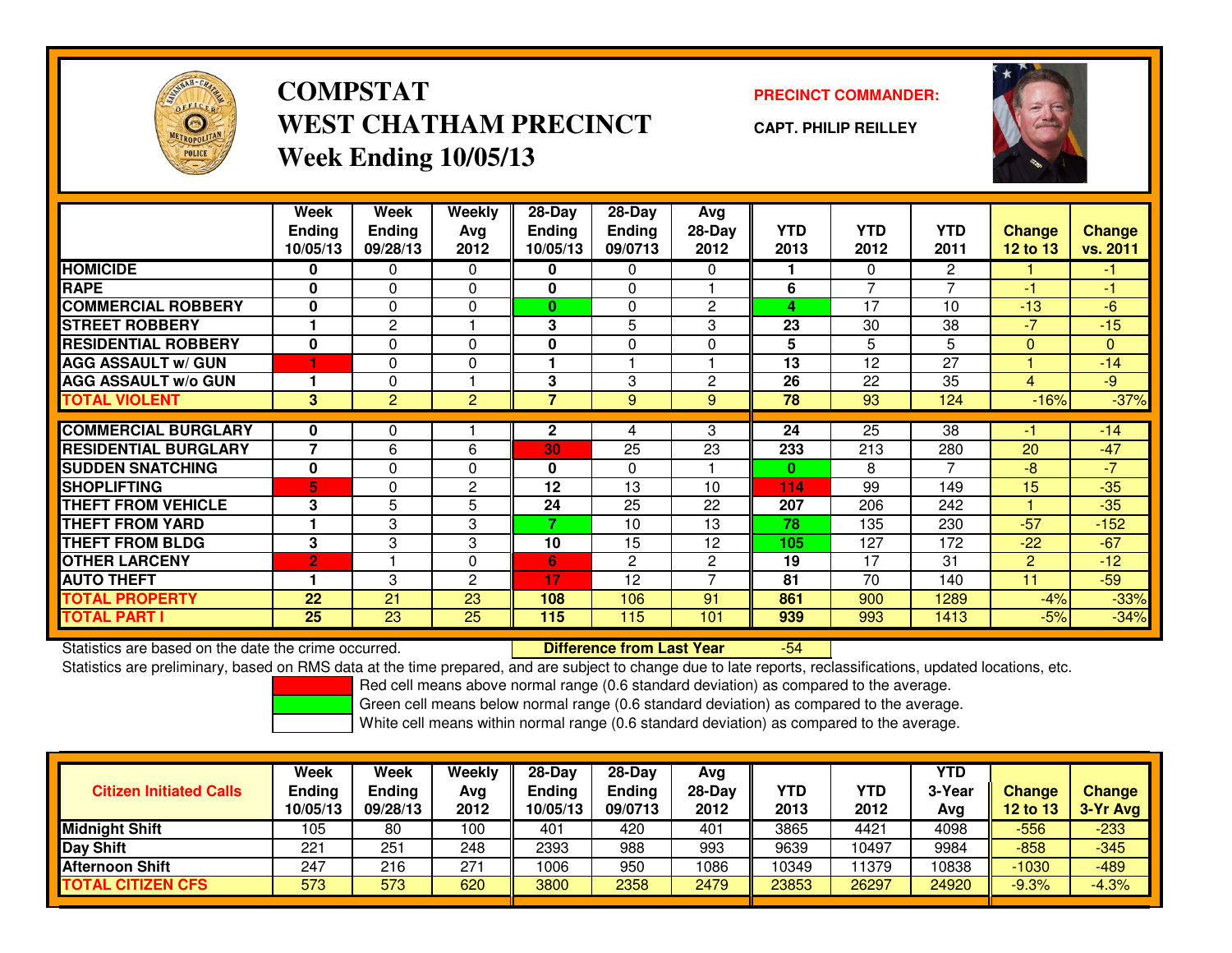

## **COMPSTATPRECINCT COMMANDER:**<br>
PRECINCT COMMANDER: **WEST CHATHAM PRECINCTWeek Ending 10/05/13**

**CAPT. PHILIP REILLEY**



|                             | Week                      | Week                      | <b>Weekly</b>  | $28-Day$                  | $28-Day$                 | Avg              |                    |                    |                    |                           |                    |
|-----------------------------|---------------------------|---------------------------|----------------|---------------------------|--------------------------|------------------|--------------------|--------------------|--------------------|---------------------------|--------------------|
|                             | <b>Ending</b><br>10/05/13 | <b>Ending</b><br>09/28/13 | Avg<br>2012    | <b>Ending</b><br>10/05/13 | <b>Ending</b><br>09/0713 | $28-Day$<br>2012 | <b>YTD</b><br>2013 | <b>YTD</b><br>2012 | <b>YTD</b><br>2011 | <b>Change</b><br>12 to 13 | Change<br>vs. 2011 |
| <b>HOMICIDE</b>             | 0                         | 0                         | $\Omega$       | 0                         | 0                        | $\Omega$         |                    | $\Omega$           | $\overline{2}$     |                           | $-1$               |
| <b>RAPE</b>                 | 0                         | 0                         | 0              | 0                         | 0                        |                  | 6                  | $\overline{7}$     | 7                  | $-1$                      | $-1$               |
| <b>COMMERCIAL ROBBERY</b>   | 0                         | 0                         | $\Omega$       | $\bf{0}$                  | 0                        | $\overline{2}$   | 4                  | 17                 | 10                 | $-13$                     | $-6$               |
| <b>STREET ROBBERY</b>       |                           | $\overline{c}$            |                | 3                         | 5                        | 3                | 23                 | 30                 | 38                 | -7                        | $-15$              |
| <b>RESIDENTIAL ROBBERY</b>  | 0                         | 0                         | $\Omega$       | 0                         | 0                        | $\Omega$         | 5                  | 5                  | 5.                 | $\mathbf{0}$              | $\mathbf{0}$       |
| <b>AGG ASSAULT w/ GUN</b>   |                           | 0                         | $\Omega$       |                           |                          |                  | 13                 | 12                 | 27                 |                           | $-14$              |
| <b>AGG ASSAULT w/o GUN</b>  |                           | 0                         |                | 3                         | 3                        | 2                | 26                 | 22                 | 35                 | 4                         | $-9$               |
| <b>TOTAL VIOLENT</b>        | 3                         | $\overline{2}$            | 2              | 7                         | 9                        | 9                | 78                 | 93                 | 124                | $-16%$                    | $-37%$             |
|                             |                           |                           |                |                           |                          |                  |                    |                    |                    |                           |                    |
| <b>COMMERCIAL BURGLARY</b>  | 0                         | 0                         |                | $\mathbf{2}$              | 4                        | 3                | 24                 | $\overline{25}$    | 38                 | -1                        | $-14$              |
| <b>RESIDENTIAL BURGLARY</b> | 7                         | 6                         | 6              | 30                        | 25                       | 23               | 233                | 213                | 280                | 20                        | $-47$              |
| <b>SUDDEN SNATCHING</b>     | $\bf{0}$                  | 0                         | $\Omega$       | 0                         | 0                        |                  | $\bf{0}$           | 8                  | 7                  | -8                        | $-7$               |
| <b>SHOPLIFTING</b>          | 5                         | 0                         | $\mathbf{2}$   | 12                        | 13                       | 10               | 114                | 99                 | 149                | 15                        | $-35$              |
| <b>THEFT FROM VEHICLE</b>   | 3                         | 5                         | 5              | 24                        | 25                       | 22               | 207                | 206                | 242                |                           | $-35$              |
| <b>THEFT FROM YARD</b>      | 1                         | 3                         | 3              | 7.                        | 10                       | 13               | 78                 | 135                | 230                | $-57$                     | $-152$             |
| <b>THEFT FROM BLDG</b>      | 3                         | 3                         | 3              | 10                        | 15                       | 12               | 105                | 127                | 172                | $-22$                     | $-67$              |
| <b>OTHER LARCENY</b>        | $\overline{2}$            |                           | 0              | 6                         | $\overline{2}$           | $\overline{c}$   | 19                 | 17                 | 31                 | 2                         | $-12$              |
| <b>AUTO THEFT</b>           | 1                         | 3                         | $\overline{c}$ | 17                        | 12                       | $\overline{ }$   | 81                 | 70                 | 140                | 11                        | $-59$              |
| <b>TOTAL PROPERTY</b>       | 22                        | 21                        | 23             | 108                       | 106                      | 91               | 861                | 900                | 1289               | $-4%$                     | $-33%$             |
| <b>TOTAL PART I</b>         | 25                        | 23                        | 25             | 115                       | 115                      | 101              | 939                | 993                | 1413               | $-5%$                     | $-34%$             |

Statistics are based on the date the crime occurred. **Difference from Last Year** 

-54

Statistics are preliminary, based on RMS data at the time prepared, and are subject to change due to late reports, reclassifications, updated locations, etc.

Red cell means above normal range (0.6 standard deviation) as compared to the average.

Green cell means below normal range (0.6 standard deviation) as compared to the average.

| <b>Citizen Initiated Calls</b> | Week<br><b>Ending</b><br>10/05/13 | Week<br>Ending<br>09/28/13 | Weekly<br>Avg<br>2012 | $28-Day$<br><b>Ending</b><br>10/05/13 | $28-Dav$<br><b>Ending</b><br>09/0713 | Avg<br>28-Day<br>2012 | <b>YTD</b><br>2013 | <b>YTD</b><br>2012 | <b>YTD</b><br>3-Year<br>Avg | Change<br>12 to 13 | <b>Change</b><br>3-Yr Avg |
|--------------------------------|-----------------------------------|----------------------------|-----------------------|---------------------------------------|--------------------------------------|-----------------------|--------------------|--------------------|-----------------------------|--------------------|---------------------------|
| <b>Midnight Shift</b>          | 105                               | 80                         | 00ا                   | 401                                   | 420                                  | 401                   | 3865               | 4421               | 4098                        | $-556$             | -233                      |
| <b>Day Shift</b>               | 221                               | 251                        | 248                   | 2393                                  | 988                                  | 993                   | 9639               | 10497              | 9984                        | $-858$             | $-345$                    |
| <b>Afternoon Shift</b>         | 247                               | 216                        | 271                   | 1006                                  | 950                                  | 1086                  | 10349              | 1379               | 10838                       | $-1030$            | $-489$                    |
| <b>TOTAL CITIZEN CFS</b>       | 573                               | 573                        | 620                   | 3800                                  | 2358                                 | 2479                  | 23853              | 26297              | 24920                       | $-9.3%$            | $-4.3%$                   |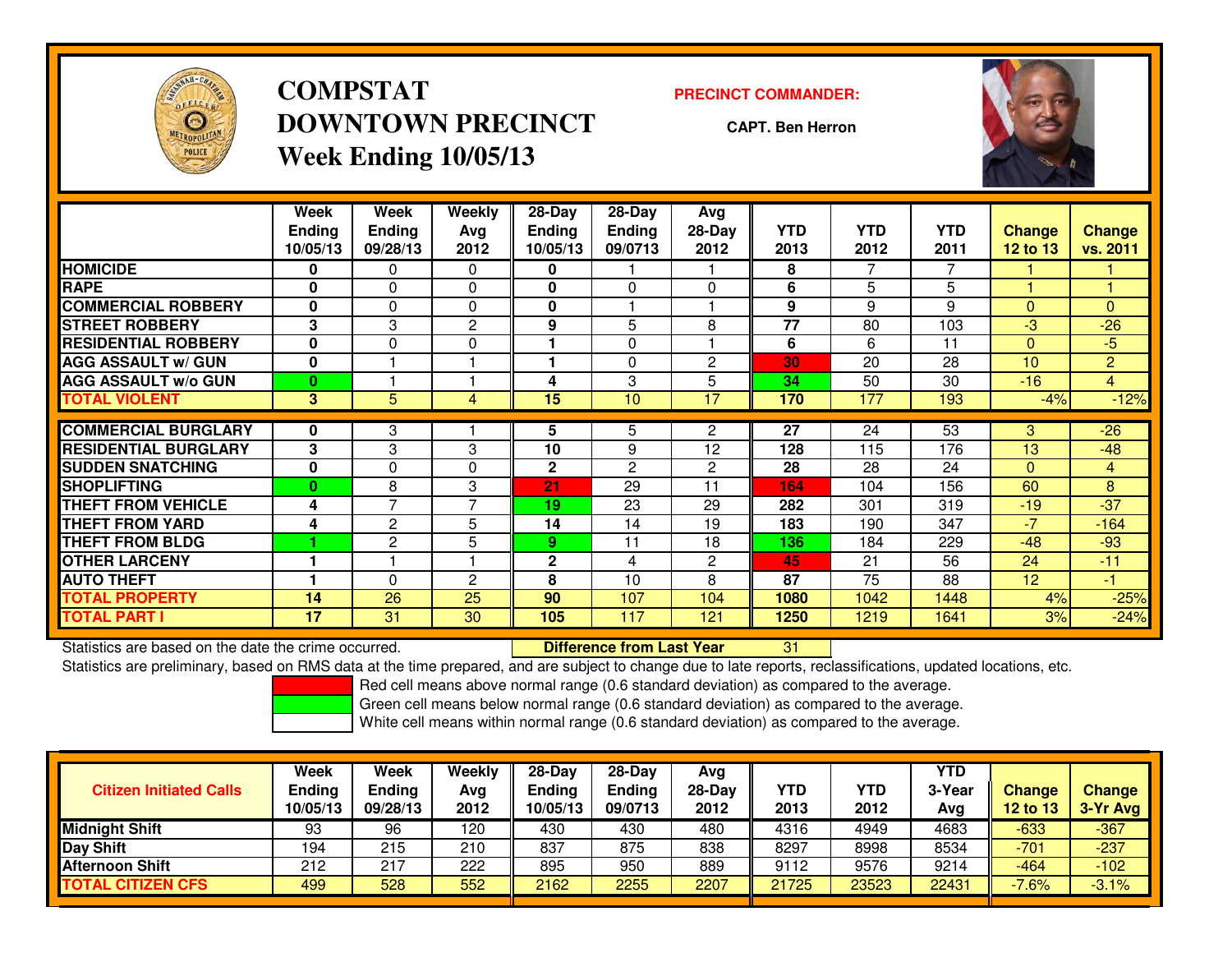

**COMPSTATDOWNTOWN PRECINCTWeek Ending 10/05/13**

### **PRECINCT COMMANDER:**

**CAPT. Ben Herron**

<sup>31</sup>



|                             | Week<br>Ending<br>10/05/13 | Week<br><b>Ending</b><br>09/28/13 | Weekly<br>Avg<br>2012 | $28-Day$<br><b>Ending</b><br>10/05/13 | $28-Day$<br><b>Ending</b><br>09/0713 | Avg<br>28-Day<br>2012 | <b>YTD</b><br>2013 | <b>YTD</b><br>2012 | <b>YTD</b><br>2011 | <b>Change</b><br>$12$ to $13$ | Change<br>vs. 2011 |
|-----------------------------|----------------------------|-----------------------------------|-----------------------|---------------------------------------|--------------------------------------|-----------------------|--------------------|--------------------|--------------------|-------------------------------|--------------------|
| <b>HOMICIDE</b>             | 0                          | 0                                 | 0                     | 0                                     |                                      |                       | 8                  |                    |                    |                               |                    |
| <b>RAPE</b>                 | $\bf{0}$                   | $\Omega$                          | $\Omega$              | 0                                     | $\Omega$                             | $\Omega$              | 6                  | 5                  | 5                  |                               |                    |
| <b>COMMERCIAL ROBBERY</b>   | $\bf{0}$                   | $\Omega$                          | $\Omega$              | 0                                     |                                      |                       | 9                  | 9                  | 9                  | $\mathbf{0}$                  | $\Omega$           |
| <b>STREET ROBBERY</b>       | 3                          | 3                                 | $\overline{c}$        | 9                                     | 5                                    | 8                     | 77                 | 80                 | 103                | $-3$                          | $-26$              |
| <b>RESIDENTIAL ROBBERY</b>  | $\bf{0}$                   | $\Omega$                          | $\Omega$              |                                       | $\Omega$                             |                       | 6                  | 6                  | 11                 | $\Omega$                      | $-5$               |
| <b>AGG ASSAULT w/ GUN</b>   | $\bf{0}$                   |                                   |                       |                                       | $\mathbf{0}$                         | $\overline{c}$        | 30                 | 20                 | 28                 | 10 <sup>1</sup>               | $\overline{2}$     |
| <b>AGG ASSAULT w/o GUN</b>  | $\bf{0}$                   |                                   |                       | 4                                     | 3                                    | 5                     | 34                 | 50                 | 30                 | $-16$                         | 4                  |
| <b>TOTAL VIOLENT</b>        | $\mathbf{3}$               | 5                                 | 4                     | 15                                    | 10                                   | 17                    | 170                | 177                | 193                | $-4%$                         | $-12%$             |
|                             |                            |                                   |                       |                                       |                                      |                       |                    |                    |                    |                               |                    |
| <b>COMMERCIAL BURGLARY</b>  | $\bf{0}$                   | 3                                 |                       | 5                                     | 5                                    | $\overline{2}$        | $\overline{27}$    | 24                 | $\overline{53}$    | 3                             | $-26$              |
| <b>RESIDENTIAL BURGLARY</b> | 3                          | 3                                 | 3                     | 10                                    | 9                                    | 12                    | 128                | 115                | 176                | 13                            | $-48$              |
| <b>SUDDEN SNATCHING</b>     | $\bf{0}$                   | 0                                 | $\Omega$              | 2                                     | $\overline{c}$                       | $\overline{2}$        | 28                 | 28                 | 24                 | $\Omega$                      | 4                  |
| SHOPLIFTING                 | $\mathbf{0}$               | 8                                 | 3                     | 21                                    | 29                                   | 11                    | 164                | 104                | 156                | 60                            | 8                  |
| <b>THEFT FROM VEHICLE</b>   | 4                          | $\overline{7}$                    | $\overline{7}$        | 19                                    | 23                                   | 29                    | 282                | 301                | 319                | $-19$                         | $-37$              |
| <b>THEFT FROM YARD</b>      | 4                          | $\overline{2}$                    | 5                     | 14                                    | 14                                   | 19                    | 183                | 190                | 347                | $-7$                          | $-164$             |
| <b>THEFT FROM BLDG</b>      |                            | $\mathbf{2}$                      | 5                     | 9.                                    | 11                                   | 18                    | 136                | 184                | 229                | $-48$                         | $-93$              |
| <b>OTHER LARCENY</b>        |                            |                                   |                       | 2                                     | 4                                    | $\overline{2}$        | 45                 | 21                 | 56                 | 24                            | $-11$              |
| <b>AUTO THEFT</b>           |                            | $\Omega$                          | 2                     | 8                                     | 10                                   | 8                     | 87                 | 75                 | 88                 | 12 <sup>2</sup>               | $-1$               |
| TOTAL PROPERTY              | 14                         | 26                                | 25                    | 90                                    | 107                                  | 104                   | 1080               | 1042               | 1448               | 4%                            | $-25%$             |
| TOTAL PART I                | 17                         | 31                                | 30                    | 105                                   | 117                                  | 121                   | 1250               | 1219               | 1641               | 3%                            | $-24%$             |

Statistics are based on the date the crime occurred. **Difference from Last Year** 

Statistics are preliminary, based on RMS data at the time prepared, and are subject to change due to late reports, reclassifications, updated locations, etc.

Red cell means above normal range (0.6 standard deviation) as compared to the average.

Green cell means below normal range (0.6 standard deviation) as compared to the average.

| <b>Citizen Initiated Calls</b> | Week<br><b>Ending</b><br>10/05/13 | Week<br><b>Endina</b><br>09/28/13 | Weekly<br>Avg<br>2012 | $28-Day$<br><b>Ending</b><br>10/05/13 | 28-Dav<br><b>Ending</b><br>09/0713 | Avg<br>28-Dav<br>2012 | YTD<br>2013 | YTD<br>2012 | YTD<br>3-Year<br>Avg | <b>Change</b><br><b>12 to 13</b> | <b>Change</b><br>3-Yr Avg |
|--------------------------------|-----------------------------------|-----------------------------------|-----------------------|---------------------------------------|------------------------------------|-----------------------|-------------|-------------|----------------------|----------------------------------|---------------------------|
| <b>Midnight Shift</b>          | 93                                | 96                                | 120                   | 430                                   | 430                                | 480                   | 4316        | 4949        | 4683                 | $-633$                           | $-367$                    |
| Day Shift                      | 194                               | 215                               | 210                   | 837                                   | 875                                | 838                   | 8297        | 8998        | 8534                 | $-701$                           | $-237$                    |
| <b>Afternoon Shift</b>         | 212                               | 217                               | 222                   | 895                                   | 950                                | 889                   | 9112        | 9576        | 9214                 | $-464$                           | $-102$                    |
| <b>TOTAL CITIZEN CFS</b>       | 499                               | 528                               | 552                   | 2162                                  | 2255                               | 2207                  | 21725       | 23523       | 22431                | $-7.6%$                          | $-3.1%$                   |
|                                |                                   |                                   |                       |                                       |                                    |                       |             |             |                      |                                  |                           |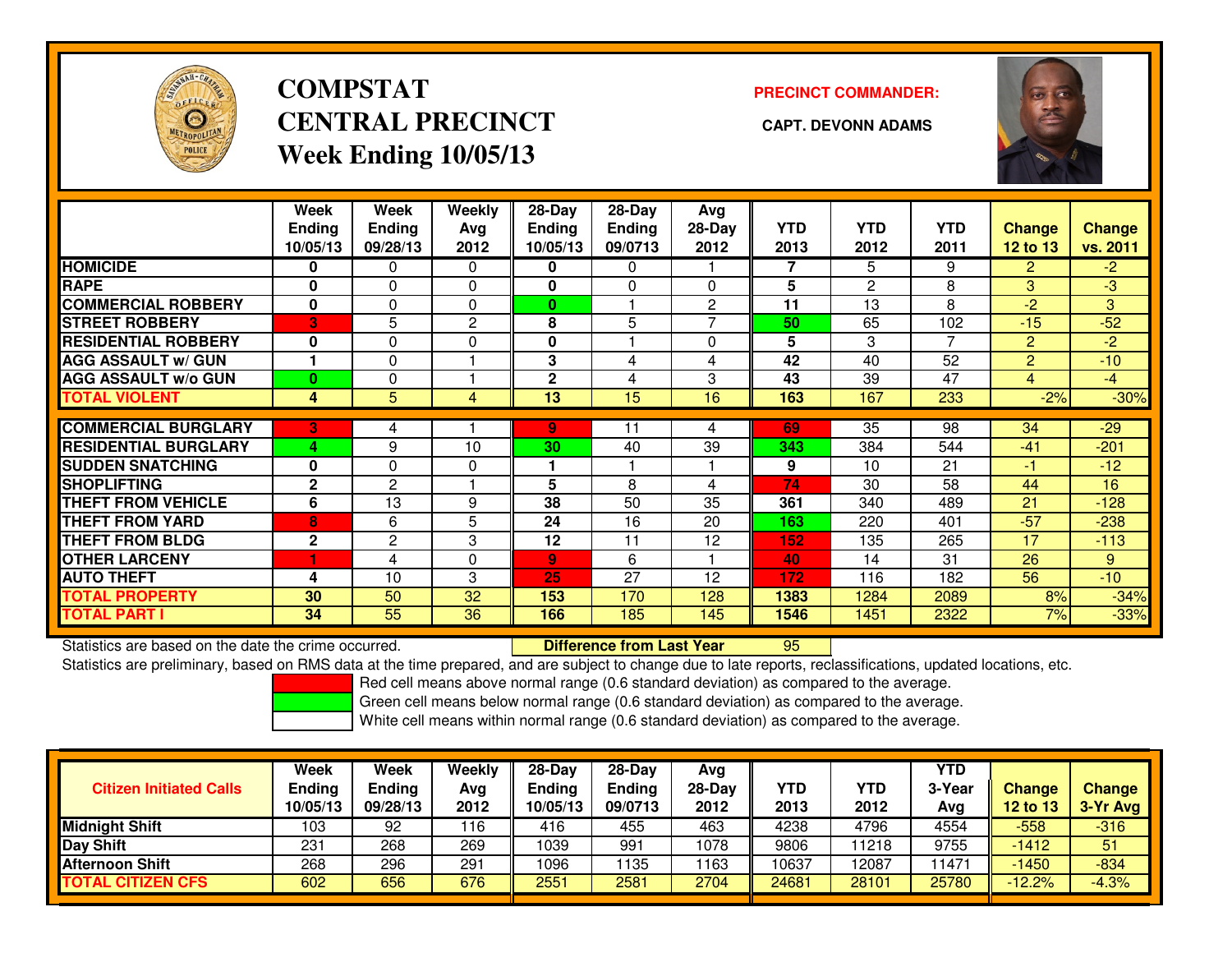

# **COMPSTATCENTRAL PRECINCT CAPT. DEVONN ADAMSWeek Ending 10/05/13**

**PRECINCT COMMANDER:**



|                             | Week<br><b>Endina</b><br>10/05/13 | Week<br><b>Ending</b><br>09/28/13 | Weekly<br>Avg<br>2012 | $28-Dav$<br><b>Endina</b><br>10/05/13 | $28-Dav$<br><b>Ending</b><br>09/0713 | Avg<br>28-Day<br>2012 | <b>YTD</b><br>2013 | <b>YTD</b><br>2012 | <b>YTD</b><br>2011 | <b>Change</b><br>12 to 13 | <b>Change</b><br>vs. 2011 |
|-----------------------------|-----------------------------------|-----------------------------------|-----------------------|---------------------------------------|--------------------------------------|-----------------------|--------------------|--------------------|--------------------|---------------------------|---------------------------|
| <b>HOMICIDE</b>             | 0                                 | 0                                 | 0                     | 0                                     | 0                                    |                       |                    | 5                  | 9                  | $\overline{2}$            | $-2$                      |
| <b>RAPE</b>                 | $\bf{0}$                          | 0                                 | 0                     | 0                                     | $\Omega$                             | $\Omega$              | 5                  | 2                  | 8                  | 3                         | $-3$                      |
| <b>COMMERCIAL ROBBERY</b>   | 0                                 | 0                                 | 0                     | $\bf{0}$                              |                                      | $\overline{2}$        | 11                 | 13                 | 8                  | $-2$                      | 3                         |
| <b>STREET ROBBERY</b>       | 3                                 | 5                                 | $\overline{c}$        | 8                                     | 5                                    | $\overline{ }$        | 50                 | 65                 | 102                | $-15$                     | $-52$                     |
| <b>RESIDENTIAL ROBBERY</b>  | 0                                 | 0                                 | 0                     | 0                                     |                                      | $\Omega$              | 5                  | 3                  | 7                  | 2                         | $-2$                      |
| <b>AGG ASSAULT w/ GUN</b>   |                                   | 0                                 |                       | 3                                     | 4                                    | 4                     | 42                 | 40                 | 52                 | $\overline{2}$            | $-10$                     |
| <b>AGG ASSAULT w/o GUN</b>  | $\bf{0}$                          | 0                                 |                       | $\mathbf{2}$                          | 4                                    | 3                     | 43                 | 39                 | 47                 | 4                         | $-4$                      |
| <b>TOTAL VIOLENT</b>        | 4                                 | 5                                 | 4                     | 13                                    | 15                                   | 16                    | 163                | 167                | 233                | $-2%$                     | $-30%$                    |
|                             |                                   |                                   |                       |                                       |                                      |                       |                    |                    |                    |                           |                           |
| <b>COMMERCIAL BURGLARY</b>  | 3                                 | 4                                 |                       | 9                                     | 11                                   | 4                     | 69                 | $\overline{35}$    | 98                 | 34                        | $-29$                     |
| <b>RESIDENTIAL BURGLARY</b> | 4                                 | 9                                 | 10                    | 30                                    | 40                                   | 39                    | 343                | 384                | 544                | $-41$                     | $-201$                    |
| <b>SUDDEN SNATCHING</b>     | $\mathbf{0}$                      | 0                                 | 0                     |                                       |                                      |                       | 9                  | 10                 | 21                 | -1                        | $-12$                     |
| <b>SHOPLIFTING</b>          | $\mathbf{2}$                      | 2                                 |                       | 5                                     | 8                                    | 4                     | 74                 | 30                 | 58                 | 44                        | 16                        |
| <b>THEFT FROM VEHICLE</b>   | 6                                 | 13                                | 9                     | 38                                    | 50                                   | 35                    | 361                | 340                | 489                | 21                        | $-128$                    |
| <b>THEFT FROM YARD</b>      | 8                                 | 6                                 | 5                     | 24                                    | 16                                   | 20                    | 163                | 220                | 401                | $-57$                     | $-238$                    |
| <b>THEFT FROM BLDG</b>      | $\mathbf{2}$                      | 2                                 | 3                     | 12                                    | 11                                   | 12                    | 152                | 135                | 265                | 17                        | $-113$                    |
| <b>OTHER LARCENY</b>        |                                   | 4                                 | 0                     | 9                                     | 6                                    |                       | 40                 | 14                 | 31                 | 26                        | 9                         |
| <b>AUTO THEFT</b>           | 4                                 | 10                                | 3                     | 25                                    | 27                                   | 12                    | 172                | 116                | 182                | 56                        | $-10$                     |
| <b>TOTAL PROPERTY</b>       | 30                                | 50                                | 32                    | 153                                   | 170                                  | 128                   | 1383               | 1284               | 2089               | 8%                        | $-34%$                    |
| <b>TOTAL PART I</b>         | 34                                | 55                                | 36                    | 166                                   | 185                                  | 145                   | 1546               | 1451               | 2322               | 7%                        | $-33%$                    |

Statistics are based on the date the crime occurred. **Difference from Last Year** 

Statistics are based on the date the crime occurred. **Externee the Luid Confference from Last Year Net all Stati**<br>Statistics are preliminary, based on RMS data at the time prepared, and are subject to change due to late re

Red cell means above normal range (0.6 standard deviation) as compared to the average.

Green cell means below normal range (0.6 standard deviation) as compared to the average.

| <b>Citizen Initiated Calls</b> | <b>Week</b><br><b>Ending</b><br>10/05/13 | <b>Week</b><br>Ending<br>09/28/13 | Weekly<br>Avg<br>2012 | $28-Day$<br><b>Ending</b><br>10/05/13 | 28-Dav<br>Ending<br>09/0713 | Avg<br>28-Dav<br>2012 | YTD<br>2013 | <b>YTD</b><br>2012 | YTD<br>3-Year<br>Avg | <b>Change</b><br><b>12 to 13</b> | <b>Change</b><br>3-Yr Avg |
|--------------------------------|------------------------------------------|-----------------------------------|-----------------------|---------------------------------------|-----------------------------|-----------------------|-------------|--------------------|----------------------|----------------------------------|---------------------------|
| <b>Midnight Shift</b>          | 103                                      | 92                                | 116                   | 416                                   | 455                         | 463                   | 4238        | 4796               | 4554                 | $-558$                           | $-316$                    |
| Day Shift                      | 231                                      | 268                               | 269                   | 1039                                  | 991                         | 1078                  | 9806        | 11218              | 9755                 | $-1412$                          | 51                        |
| <b>Afternoon Shift</b>         | 268                                      | 296                               | 291                   | 1096                                  | 1135                        | 163                   | 10637       | 12087              | 1471                 | $-1450$                          | $-834$                    |
| <b>TOTAL CITIZEN CFS</b>       | 602                                      | 656                               | 676                   | 2551                                  | 2581                        | 2704                  | 24681       | 28101              | 25780                | $-12.2%$                         | $-4.3%$                   |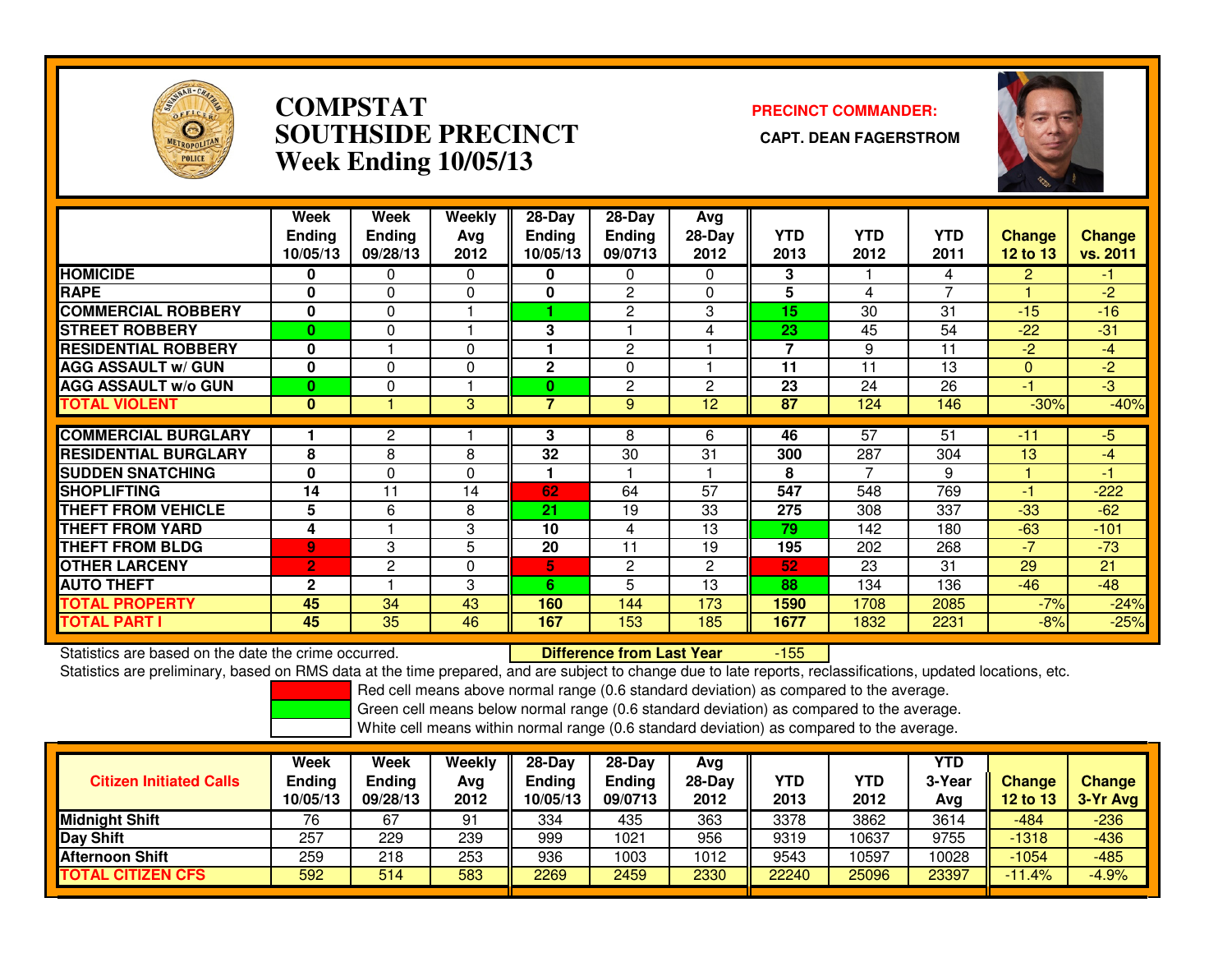

## **COMPSTAT PRECINCT COMMANDER: SOUTHSIDE PRECINCT CAPT. DEAN FAGERSTROMWeek Ending 10/05/13**



|                             | Week<br><b>Ending</b><br>10/05/13 | Week<br><b>Ending</b><br>09/28/13 | Weekly<br>Avg<br>2012 | 28-Day<br><b>Ending</b><br>10/05/13 | $28-Day$<br><b>Ending</b><br>09/0713 | Avg<br>$28-Day$<br>2012 | <b>YTD</b><br>2013       | <b>YTD</b><br>2012 | <b>YTD</b><br>2011 | <b>Change</b><br><b>12 to 13</b> | Change<br>vs. 2011 |
|-----------------------------|-----------------------------------|-----------------------------------|-----------------------|-------------------------------------|--------------------------------------|-------------------------|--------------------------|--------------------|--------------------|----------------------------------|--------------------|
| <b>HOMICIDE</b>             | 0                                 | 0                                 | $\mathbf{0}$          | 0                                   | $\Omega$                             | $\Omega$                | 3                        |                    | 4                  | 2                                | -1.                |
| <b>RAPE</b>                 | 0                                 | $\Omega$                          | 0                     | 0                                   | 2                                    | 0                       | 5                        | 4                  | $\overline{7}$     |                                  | $-2$               |
| <b>COMMERCIAL ROBBERY</b>   | 0                                 | $\Omega$                          |                       |                                     | $\mathbf{2}$                         | 3                       | 15                       | 30                 | 31                 | $-15$                            | $-16$              |
| <b>STREET ROBBERY</b>       | $\bf{0}$                          | $\Omega$                          |                       | 3                                   |                                      | 4                       | 23                       | 45                 | 54                 | $-22$                            | $-31$              |
| <b>RESIDENTIAL ROBBERY</b>  | $\mathbf 0$                       |                                   | $\Omega$              |                                     | $\overline{2}$                       |                         | $\overline{\phantom{a}}$ | 9                  | 11                 | $-2$                             | $-4$               |
| <b>AGG ASSAULT w/ GUN</b>   | $\mathbf 0$                       | $\Omega$                          | 0                     | $\mathbf{2}$                        | 0                                    |                         | 11                       | 11                 | 13                 | $\Omega$                         | $-2$               |
| <b>AGG ASSAULT w/o GUN</b>  | $\bf{0}$                          | 0                                 |                       | 0                                   | 2                                    | $\overline{2}$          | 23                       | 24                 | 26                 | -1                               | $-3$               |
| <b>TOTAL VIOLENT</b>        | $\mathbf{0}$                      |                                   | 3                     | $\overline{7}$                      | 9                                    | 12                      | 87                       | 124                | 146                | $-30%$                           | $-40%$             |
|                             |                                   |                                   |                       |                                     |                                      |                         |                          |                    |                    |                                  |                    |
| <b>COMMERCIAL BURGLARY</b>  |                                   | $\overline{c}$                    |                       | 3                                   | 8                                    | 6                       | 46                       | 57                 | $\overline{51}$    | $-11$                            | $-5$               |
| <b>RESIDENTIAL BURGLARY</b> | 8                                 | 8                                 | 8                     | 32                                  | 30                                   | 31                      | 300                      | 287                | 304                | 13                               | -4                 |
| <b>SUDDEN SNATCHING</b>     | 0                                 | $\Omega$                          | 0                     | 1                                   |                                      |                         | 8                        | 7                  | 9                  |                                  | $-1$               |
| <b>SHOPLIFTING</b>          | 14                                | 11                                | 14                    | 62                                  | 64                                   | 57                      | 547                      | 548                | 769                | -1                               | $-222$             |
| <b>THEFT FROM VEHICLE</b>   | 5                                 | 6                                 | 8                     | 21                                  | 19                                   | 33                      | 275                      | 308                | 337                | $-33$                            | $-62$              |
| <b>THEFT FROM YARD</b>      | 4                                 |                                   | 3                     | 10                                  | 4                                    | 13                      | 79                       | 142                | 180                | $-63$                            | $-101$             |
| <b>THEFT FROM BLDG</b>      | 9                                 | 3                                 | 5                     | 20                                  | 11                                   | 19                      | 195                      | 202                | 268                | $-7$                             | $-73$              |
| <b>OTHER LARCENY</b>        | $\overline{2}$                    | 2                                 | 0                     | 5.                                  | 2                                    | 2                       | 52                       | 23                 | 31                 | 29                               | 21                 |
| <b>AUTO THEFT</b>           | $\mathbf{2}$                      |                                   | 3                     | 6                                   | 5                                    | 13                      | 88                       | 134                | 136                | $-46$                            | $-48$              |
| <b>TOTAL PROPERTY</b>       | 45                                | 34                                | 43                    | 160                                 | 144                                  | 173                     | 1590                     | 1708               | 2085               | $-7%$                            | $-24%$             |
| <b>TOTAL PART I</b>         | 45                                | 35                                | 46                    | 167                                 | 153                                  | 185                     | 1677                     | 1832               | 2231               | $-8%$                            | $-25%$             |

Statistics are based on the date the crime occurred. **Difference from Last Year** 

-155

Statistics are preliminary, based on RMS data at the time prepared, and are subject to change due to late reports, reclassifications, updated locations, etc.

Red cell means above normal range (0.6 standard deviation) as compared to the average.

Green cell means below normal range (0.6 standard deviation) as compared to the average.

| <b>Citizen Initiated Calls</b> | Week<br><b>Ending</b><br>10/05/13 | <b>Week</b><br><b>Ending</b><br>09/28/13 | Weekly<br>Avg<br>2012 | $28-Day$<br><b>Ending</b><br>10/05/13 | 28-Dav<br><b>Ending</b><br>09/0713 | Avg<br>$28-Dav$<br>2012 | YTD<br>2013 | YTD<br>2012 | <b>YTD</b><br>3-Year<br>Avg | <b>Change</b><br>12 to 13 | Change<br>3-Yr Avg |
|--------------------------------|-----------------------------------|------------------------------------------|-----------------------|---------------------------------------|------------------------------------|-------------------------|-------------|-------------|-----------------------------|---------------------------|--------------------|
| <b>Midnight Shift</b>          | 76                                | 67                                       | 91                    | 334                                   | 435                                | 363                     | 3378        | 3862        | 3614                        | -484                      | $-236$             |
| Day Shift                      | 257                               | 229                                      | 239                   | 999                                   | 1021                               | 956                     | 9319        | 10637       | 9755                        | $-1318$                   | $-436$             |
| <b>Afternoon Shift</b>         | 259                               | 218                                      | 253                   | 936                                   | 1003                               | 1012                    | 9543        | 0597        | 10028                       | $-1054$                   | $-485$             |
| <b>TOTAL CITIZEN CFS</b>       | 592                               | 514                                      | 583                   | 2269                                  | 2459                               | 2330                    | 22240       | 25096       | 23397                       | $-11.4%$                  | $-4.9%$            |